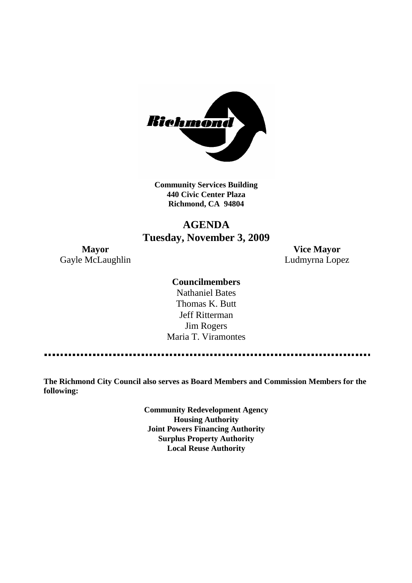

**Community Services Building 440 Civic Center Plaza Richmond, CA 94804**

# **AGENDA Tuesday, November 3, 2009**

**Mayor Vice Mayor** Gayle McLaughlin **Ludmyrna Lopez** 

### **Councilmembers**

Nathaniel Bates Thomas K. Butt Jeff Ritterman Jim Rogers Maria T. Viramontes

**The Richmond City Council also serves as Board Members and Commission Members for the following:**

> **Community Redevelopment Agency Housing Authority Joint Powers Financing Authority Surplus Property Authority Local Reuse Authority**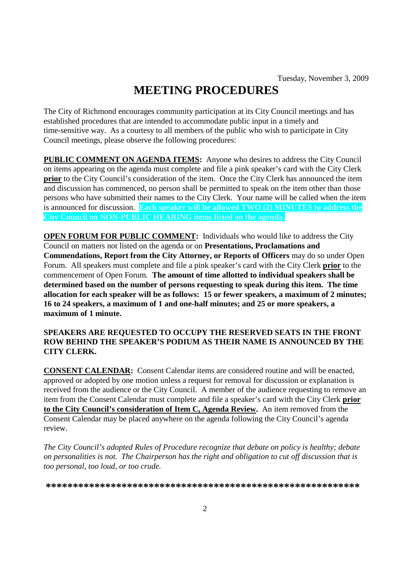# **MEETING PROCEDURES**

The City of Richmond encourages community participation at its City Council meetings and has established procedures that are intended to accommodate public input in a timely and time-sensitive way. As a courtesy to all members of the public who wish to participate in City Council meetings, please observe the following procedures:

**PUBLIC COMMENT ON AGENDA ITEMS:** Anyone who desires to address the City Council on items appearing on the agenda must complete and file a pink speaker's card with the City Clerk **prior** to the City Council's consideration of the item. Once the City Clerk has announced the item and discussion has commenced, no person shall be permitted to speak on the item other than those persons who have submitted their names to the City Clerk. Your name will be called when the item is announced for discussion. **Each speaker will be allowed TWO (2) MINUTES to address the City Council on NON-PUBLIC HEARING items listed on the agenda.**

**OPEN FORUM FOR PUBLIC COMMENT:** Individuals who would like to address the City Council on matters not listed on the agenda or on **Presentations, Proclamations and Commendations, Report from the City Attorney, or Reports of Officers** may do so under Open Forum. All speakers must complete and file a pink speaker's card with the City Clerk **prior** to the commencement of Open Forum. **The amount of time allotted to individual speakers shall be determined based on the number of persons requesting to speak during this item. The time allocation for each speaker will be as follows: 15 or fewer speakers, a maximum of 2 minutes; 16 to 24 speakers, a maximum of 1 and one-half minutes; and 25 or more speakers, a maximum of 1 minute.**

### **SPEAKERS ARE REQUESTED TO OCCUPY THE RESERVED SEATS IN THE FRONT ROW BEHIND THE SPEAKER'S PODIUM AS THEIR NAME IS ANNOUNCED BY THE CITY CLERK.**

**CONSENT CALENDAR:** Consent Calendar items are considered routine and will be enacted, approved or adopted by one motion unless a request for removal for discussion or explanation is received from the audience or the City Council. A member of the audience requesting to remove an item from the Consent Calendar must complete and file a speaker's card with the City Clerk **prior to the City Council's consideration of Item C, Agenda Review.** An item removed from the Consent Calendar may be placed anywhere on the agenda following the City Council's agenda review.

*The City Council's adopted Rules of Procedure recognize that debate on policy is healthy; debate on personalities is not. The Chairperson has the right and obligation to cut off discussion that is too personal, too loud, or too crude.*

**\*\*\*\*\*\*\*\*\*\*\*\*\*\*\*\*\*\*\*\*\*\*\*\*\*\*\*\*\*\*\*\*\*\*\*\*\*\*\*\*\*\*\*\*\*\*\*\*\*\*\*\*\*\*\*\*\*\***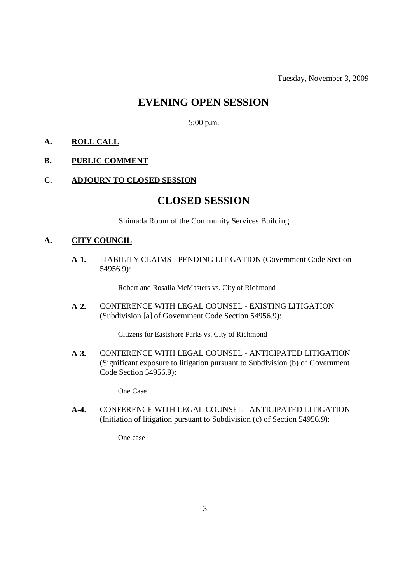# **EVENING OPEN SESSION**

5:00 p.m.

### **A. ROLL CALL**

#### **B. PUBLIC COMMENT**

### **C. ADJOURN TO CLOSED SESSION**

# **CLOSED SESSION**

Shimada Room of the Community Services Building

#### **A. CITY COUNCIL**

**A-1.** LIABILITY CLAIMS - PENDING LITIGATION (Government Code Section 54956.9):

Robert and Rosalia McMasters vs. City of Richmond

**A-2.** CONFERENCE WITH LEGAL COUNSEL - EXISTING LITIGATION (Subdivision [a] of Government Code Section 54956.9):

Citizens for Eastshore Parks vs. City of Richmond

**A-3.** CONFERENCE WITH LEGAL COUNSEL - ANTICIPATED LITIGATION (Significant exposure to litigation pursuant to Subdivision (b) of Government Code Section 54956.9):

One Case

**A-4.** CONFERENCE WITH LEGAL COUNSEL - ANTICIPATED LITIGATION (Initiation of litigation pursuant to Subdivision (c) of Section 54956.9):

One case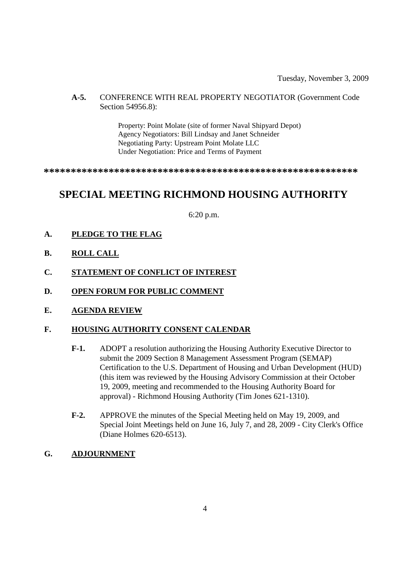### **A-5.** CONFERENCE WITH REAL PROPERTY NEGOTIATOR (Government Code Section 54956.8):

Property: Point Molate (site of former Naval Shipyard Depot) Agency Negotiators: Bill Lindsay and Janet Schneider Negotiating Party: Upstream Point Molate LLC Under Negotiation: Price and Terms of Payment

**\*\*\*\*\*\*\*\*\*\*\*\*\*\*\*\*\*\*\*\*\*\*\*\*\*\*\*\*\*\*\*\*\*\*\*\*\*\*\*\*\*\*\*\*\*\*\*\*\*\*\*\*\*\*\*\*\*\***

# **SPECIAL MEETING RICHMOND HOUSING AUTHORITY**

6:20 p.m.

- **A. PLEDGE TO THE FLAG**
- **B. ROLL CALL**
- **C. STATEMENT OF CONFLICT OF INTEREST**
- **D. OPEN FORUM FOR PUBLIC COMMENT**
- **E. AGENDA REVIEW**

### **F. HOUSING AUTHORITY CONSENT CALENDAR**

- **F-1.** ADOPT a resolution authorizing the Housing Authority Executive Director to submit the 2009 Section 8 Management Assessment Program (SEMAP) Certification to the U.S. Department of Housing and Urban Development (HUD) (this item was reviewed by the Housing Advisory Commission at their October 19, 2009, meeting and recommended to the Housing Authority Board for approval) - Richmond Housing Authority (Tim Jones 621-1310).
- **F-2.** APPROVE the minutes of the Special Meeting held on May 19, 2009, and Special Joint Meetings held on June 16, July 7, and 28, 2009 - City Clerk's Office (Diane Holmes 620-6513).

### **G. ADJOURNMENT**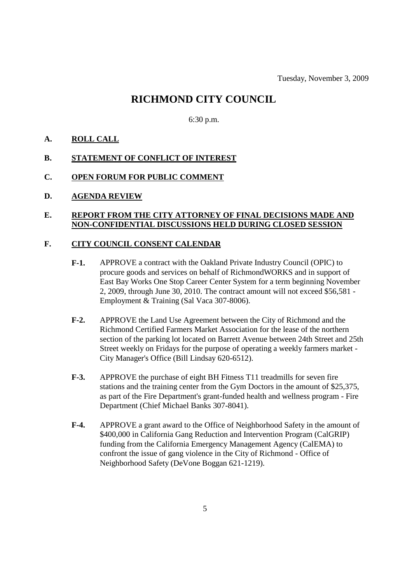Tuesday, November 3, 2009

# **RICHMOND CITY COUNCIL**

6:30 p.m.

### **A. ROLL CALL**

### **B. STATEMENT OF CONFLICT OF INTEREST**

**C. OPEN FORUM FOR PUBLIC COMMENT**

### **D. AGENDA REVIEW**

### **E. REPORT FROM THE CITY ATTORNEY OF FINAL DECISIONS MADE AND NON-CONFIDENTIAL DISCUSSIONS HELD DURING CLOSED SESSION**

#### **F. CITY COUNCIL CONSENT CALENDAR**

- **F-1.** APPROVE a contract with the Oakland Private Industry Council (OPIC) to procure goods and services on behalf of RichmondWORKS and in support of East Bay Works One Stop Career Center System for a term beginning November 2, 2009, through June 30, 2010. The contract amount will not exceed \$56,581 - Employment & Training (Sal Vaca 307-8006).
- **F-2.** APPROVE the Land Use Agreement between the City of Richmond and the Richmond Certified Farmers Market Association for the lease of the northern section of the parking lot located on Barrett Avenue between 24th Street and 25th Street weekly on Fridays for the purpose of operating a weekly farmers market - City Manager's Office (Bill Lindsay 620-6512).
- **F-3.** APPROVE the purchase of eight BH Fitness T11 treadmills for seven fire stations and the training center from the Gym Doctors in the amount of \$25,375, as part of the Fire Department's grant-funded health and wellness program - Fire Department (Chief Michael Banks 307-8041).
- **F-4.** APPROVE a grant award to the Office of Neighborhood Safety in the amount of \$400,000 in California Gang Reduction and Intervention Program (CalGRIP) funding from the California Emergency Management Agency (CalEMA) to confront the issue of gang violence in the City of Richmond - Office of Neighborhood Safety (DeVone Boggan 621-1219).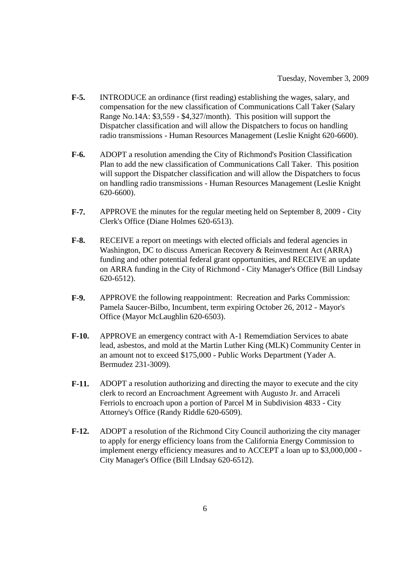- **F-5.** INTRODUCE an ordinance (first reading) establishing the wages, salary, and compensation for the new classification of Communications Call Taker (Salary Range No.14A: \$3,559 - \$4,327/month). This position will support the Dispatcher classification and will allow the Dispatchers to focus on handling radio transmissions - Human Resources Management (Leslie Knight 620-6600).
- **F-6.** ADOPT a resolution amending the City of Richmond's Position Classification Plan to add the new classification of Communications Call Taker. This position will support the Dispatcher classification and will allow the Dispatchers to focus on handling radio transmissions - Human Resources Management (Leslie Knight 620-6600).
- **F-7.** APPROVE the minutes for the regular meeting held on September 8, 2009 City Clerk's Office (Diane Holmes 620-6513).
- **F-8.** RECEIVE a report on meetings with elected officials and federal agencies in Washington, DC to discuss American Recovery & Reinvestment Act (ARRA) funding and other potential federal grant opportunities, and RECEIVE an update on ARRA funding in the City of Richmond - City Manager's Office (Bill Lindsay 620-6512).
- **F-9.** APPROVE the following reappointment: Recreation and Parks Commission: Pamela Saucer-Bilbo, Incumbent, term expiring October 26, 2012 - Mayor's Office (Mayor McLaughlin 620-6503).
- **F-10.** APPROVE an emergency contract with A-1 Rememdiation Services to abate lead, asbestos, and mold at the Martin Luther King (MLK) Community Center in an amount not to exceed \$175,000 - Public Works Department (Yader A. Bermudez 231-3009).
- **F-11.** ADOPT a resolution authorizing and directing the mayor to execute and the city clerk to record an Encroachment Agreement with Augusto Jr. and Arraceli Ferriols to encroach upon a portion of Parcel M in Subdivision 4833 - City Attorney's Office (Randy Riddle 620-6509).
- **F-12.** ADOPT a resolution of the Richmond City Council authorizing the city manager to apply for energy efficiency loans from the California Energy Commission to implement energy efficiency measures and to ACCEPT a loan up to \$3,000,000 - City Manager's Office (Bill LIndsay 620-6512).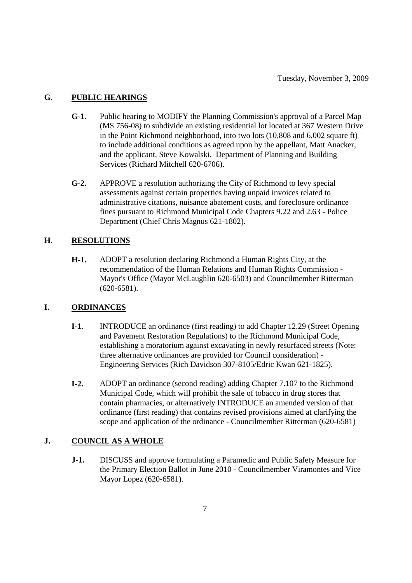# **G. PUBLIC HEARINGS**

- **G-1.** Public hearing to MODIFY the Planning Commission's approval of a Parcel Map (MS 756-08) to subdivide an existing residential lot located at 367 Western Drive in the Point Richmond neighborhood, into two lots (10,808 and 6,002 square ft) to include additional conditions as agreed upon by the appellant, Matt Anacker, and the applicant, Steve Kowalski. Department of Planning and Building Services (Richard Mitchell 620-6706).
- **G-2.** APPROVE a resolution authorizing the City of Richmond to levy special assessments against certain properties having unpaid invoices related to administrative citations, nuisance abatement costs, and foreclosure ordinance fines pursuant to Richmond Municipal Code Chapters 9.22 and 2.63 - Police Department (Chief Chris Magnus 621-1802).

# **H. RESOLUTIONS**

**H-1.** ADOPT a resolution declaring Richmond a Human Rights City, at the recommendation of the Human Relations and Human Rights Commission - Mayor's Office (Mayor McLaughlin 620-6503) and Councilmember Ritterman (620-6581).

# **I. ORDINANCES**

- **I-1.** INTRODUCE an ordinance (first reading) to add Chapter 12.29 (Street Opening and Pavement Restoration Regulations) to the Richmond Municipal Code, establishing a moratorium against excavating in newly resurfaced streets (Note: three alternative ordinances are provided for Council consideration) - Engineering Services (Rich Davidson 307-8105/Edric Kwan 621-1825).
- **I-2.** ADOPT an ordinance (second reading) adding Chapter 7.107 to the Richmond Municipal Code, which will prohibit the sale of tobacco in drug stores that contain pharmacies, or alternatively INTRODUCE an amended version of that ordinance (first reading) that contains revised provisions aimed at clarifying the scope and application of the ordinance - Councilmember Ritterman (620-6581)

# **J. COUNCIL AS A WHOLE**

**J-1.** DISCUSS and approve formulating a Paramedic and Public Safety Measure for the Primary Election Ballot in June 2010 - Councilmember Viramontes and Vice Mayor Lopez (620-6581).